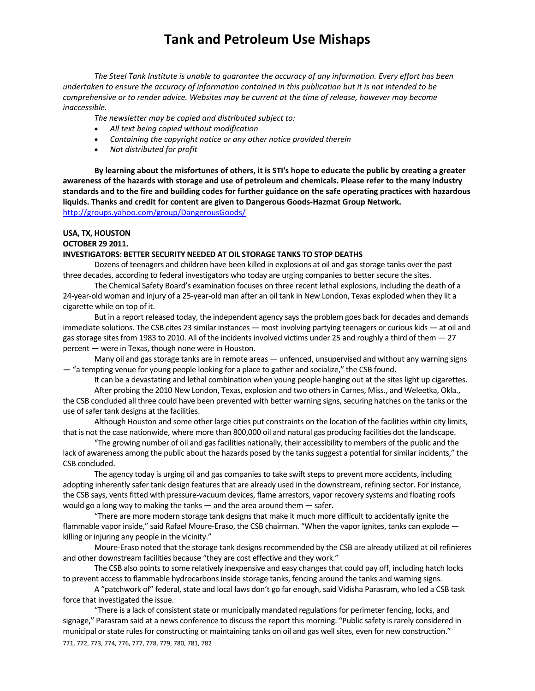*The Steel Tank Institute is unable to guarantee the accuracy of any information. Every effort has been* undertaken to ensure the accuracy of information contained in this publication but it is not intended to be *comprehensive or to render advice. Websites may be current at the time of release, however may become inaccessible.*

*The newsletter may be copied and distributed subject to:*

- *All text being copied without modification*
- *Containing the copyright notice or any other notice provided therein*
- *Not distributed for profit*

By learning about the misfortunes of others, it is STI's hope to educate the public by creating a greater awareness of the hazards with storage and use of petroleum and chemicals. Please refer to the many industry standards and to the fire and building codes for further guidance on the safe operating practices with hazardous **liquids. Thanks and credit for content are given to Dangerous Goods‐Hazmat Group Network.**  http://groups.yahoo.com/group/DangerousGoods/

### **USA, TX, HOUSTON**

#### **OCTOBER 29 2011.**

#### **INVESTIGATORS: BETTER SECURITY NEEDED AT OIL STORAGE TANKS TO STOP DEATHS**

Dozens of teenagers and children have been killed in explosions at oil and gasstorage tanks over the past three decades, according to federal investigators who today are urging companies to better secure the sites.

The Chemical Safety Board's examination focuses on three recent lethal explosions, including the death of a 24-year-old woman and injury of a 25-year-old man after an oil tank in New London, Texas exploded when they lit a cigarette while on top of it.

But in a report released today, the independent agency saysthe problem goes back for decades and demands immediate solutions. The CSB cites 23 similar instances — most involving partying teenagers or curious kids — at oil and gas storage sites from 1983 to 2010. All of the incidents involved victims under 25 and roughly a third of them  $-27$ percent — were in Texas, though none were in Houston.

Many oil and gas storage tanks are in remote areas - unfenced, unsupervised and without any warning signs — "a tempting venue for young people looking for a place to gather and socialize," the CSB found.

It can be a devastating and lethal combination when young people hanging out at the siteslight up cigarettes.

After probing the 2010 New London, Texas, explosion and two others in Carnes, Miss., and Weleetka, Okla., the CSB concluded all three could have been prevented with better warning signs, securing hatches on the tanks or the use of safer tank designs at the facilities.

Although Houston and some other large cities put constraints on the location of the facilities within city limits, that is not the case nationwide, where more than 800,000 oil and natural gas producing facilities dot the landscape.

"The growing number of oil and gasfacilities nationally, their accessibility to members of the public and the lack of awareness among the public about the hazards posed by the tanks suggest a potential for similar incidents," the CSB concluded.

The agency today is urging oil and gas companies to take swift steps to prevent more accidents, including adopting inherently safer tank design features that are already used in the downstream, refining sector. For instance, the CSB says, vents fitted with pressure-vacuum devices, flame arrestors, vapor recovery systems and floating roofs would go a long way to making the tanks — and the area around them — safer.

"There are more modern storage tank designs that make it much more difficult to accidentally ignite the flammable vapor inside," said Rafael Moure-Eraso, the CSB chairman. "When the vapor ignites, tanks can explode killing or injuring any people in the vicinity."

Moure-Eraso noted that the storage tank designs recommended by the CSB are already utilized at oil refinieres and other downstream facilities because "they are cost effective and they work."

The CSB also points to some relatively inexpensive and easy changes that could pay off, including hatch locks to prevent access to flammable hydrocarbons inside storage tanks, fencing around the tanks and warning signs.

A "patchwork of" federal, state and local laws don't go far enough, said Vidisha Parasram, who led a CSB task force that investigated the issue.

771, 772, 773, 774, 776, 777, 778, 779, 780, 781, 782 "There is a lack of consistent state or municipally mandated regulations for perimeter fencing, locks, and signage," Parasram said at a news conference to discuss the report this morning. "Public safety is rarely considered in municipal or state rules for constructing or maintaining tanks on oil and gas well sites, even for new construction."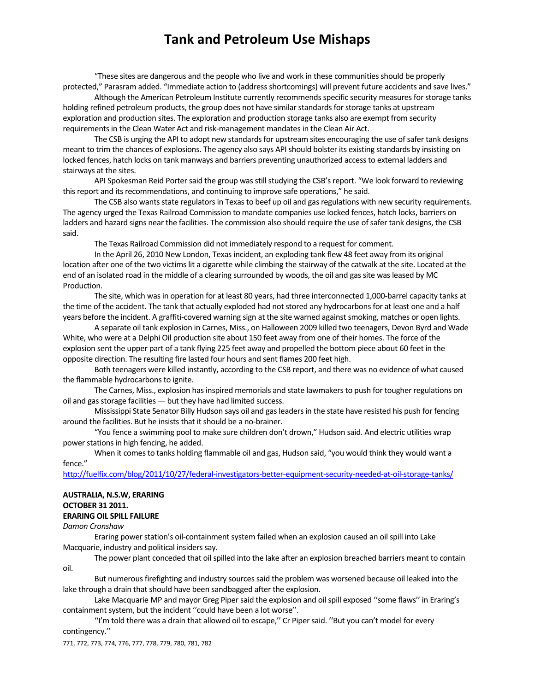"These sites are dangerous and the people who live and work in these communities should be properly protected," Parasram added. "Immediate action to (address shortcomings) will prevent future accidents and save lives."

Although the American Petroleum Institute currently recommends specific security measures for storage tanks holding refined petroleum products, the group does not have similar standards for storage tanks at upstream exploration and production sites. The exploration and production storage tanks also are exempt from security requirements in the Clean Water Act and risk-management mandates in the Clean Air Act.

The CSB is urging the API to adopt new standards for upstream sites encouraging the use of safer tank designs meant to trim the chances of explosions. The agency also says API should bolster its existing standards by insisting on locked fences, hatch locks on tank manways and barriers preventing unauthorized accessto external ladders and stairways at the sites.

API Spokesman Reid Porter said the group was still studying the CSB's report. "We look forward to reviewing this report and its recommendations, and continuing to improve safe operations," he said.

The CSB also wants state regulators in Texas to beef up oil and gas regulations with new security requirements. The agency urged the Texas Railroad Commission to mandate companies use locked fences, hatch locks, barriers on ladders and hazard signs near the facilities. The commission also should require the use of safer tank designs, the CSB said.

The Texas Railroad Commission did not immediately respond to a request for comment.

In the April 26, 2010 New London, Texas incident, an exploding tank flew 48 feet away from its original location after one of the two victims lit a cigarette while climbing the stairway of the catwalk at the site. Located at the end of an isolated road in the middle of a clearing surrounded by woods, the oil and gas site was leased by MC Production.

The site, which was in operation for at least 80 years, had three interconnected 1,000-barrel capacity tanks at the time of the accident. The tank that actually exploded had not stored any hydrocarbons for at least one and a half years before the incident. A graffiti-covered warning sign at the site warned against smoking, matches or open lights.

A separate oil tank explosion in Carnes, Miss., on Halloween 2009 killed two teenagers, Devon Byrd and Wade White, who were at a Delphi Oil production site about 150 feet away from one of their homes. The force of the explosion sent the upper part of a tank flying 225 feet away and propelled the bottom piece about 60 feet in the opposite direction. The resulting fire lasted four hours and sent flames 200 feet high.

Both teenagers were killed instantly, according to the CSB report, and there was no evidence of what caused the flammable hydrocarbons to ignite.

The Carnes, Miss., explosion hasinspired memorials and state lawmakersto push for tougher regulations on oil and gas storage facilities  $-$  but they have had limited success.

Mississippi State Senator Billy Hudson says oil and gasleadersin the state have resisted his push for fencing around the facilities. But he insists that it should be a no-brainer.

"You fence a swimming pool to make sure children don't drown," Hudson said. And electric utilities wrap power stations in high fencing, he added.

When it comes to tanks holding flammable oil and gas, Hudson said, "you would think they would want a fence."

http://fuelfix.com/blog/2011/10/27/federal-investigators-better-equipment-security-needed-at-oil-storage-tanks/

### **AUSTRALIA, N.S.W, ERARING OCTOBER 31 2011. ERARING OIL SPILL FAILURE**

*Damon Cronshaw*

Eraring power station's oil-containment system failed when an explosion caused an oil spill into Lake Macquarie, industry and political insiders say.

The power plant conceded that oil spilled into the lake after an explosion breached barriers meant to contain oil.

But numerous firefighting and industry sources said the problem was worsened because oil leaked into the lake through a drain that should have been sandbagged after the explosion.

Lake Macquarie MP and mayor Greg Piper said the explosion and oil spill exposed "some flaws" in Eraring's containment system, but the incident "could have been a lot worse".

"I'm told there was a drain that allowed oil to escape," Cr Piper said. "But you can't model for every contingency.''

771, 772, 773, 774, 776, 777, 778, 779, 780, 781, 782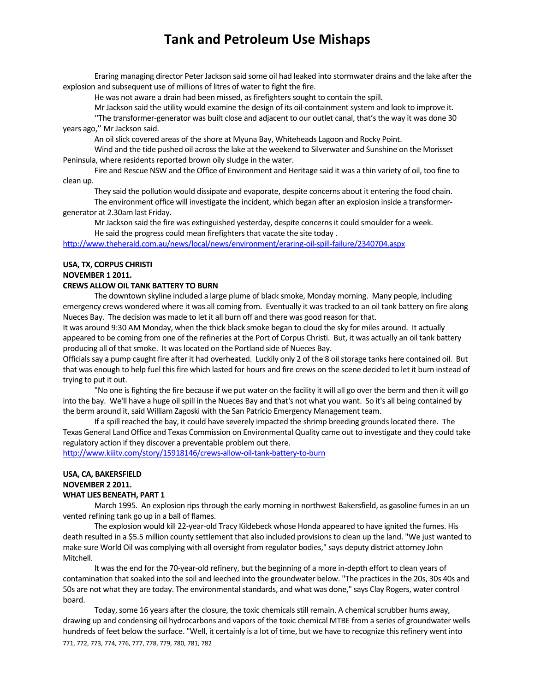Eraring managing director Peter Jackson said some oil had leaked into stormwater drains and the lake after the explosion and subsequent use of millions of litres of water to fight the fire.

He was not aware a drain had been missed, as firefighters sought to contain the spill.

Mr Jackson said the utility would examine the design of its oil-containment system and look to improve it.

''The transformer‐generator was built close and adjacent to our outlet canal, that'sthe way it was done 30 years ago,'' Mr Jackson said.

An oilslick covered areas of the shore at Myuna Bay, Whiteheads Lagoon and Rocky Point.

Wind and the tide pushed oil acrossthe lake at the weekend to Silverwater and Sunshine on the Morisset Peninsula, where residents reported brown oily sludge in the water.

Fire and Rescue NSW and the Office of Environment and Heritage said it was a thin variety of oil, too fine to clean up.

They said the pollution would dissipate and evaporate, despite concerns about it entering the food chain.

The environment office will investigate the incident, which began after an explosion inside a transformer‐ generator at 2.30am last Friday.

Mr Jackson said the fire was extinguished yesterday, despite concernsit could smoulder for a week.

He said the progress could mean firefighters that vacate the site today.

http://www.theherald.com.au/news/local/news/environment/eraring‐oil‐spill‐failure/2340704.aspx

## **USA, TX, CORPUS CHRISTI NOVEMBER 1 2011.**

#### **CREWS ALLOW OIL TANK BATTERY TO BURN**

The downtown skyline included a large plume of black smoke, Monday morning. Many people, including emergency crews wondered where it was all coming from. Eventually it wastracked to an oil tank battery on fire along Nueces Bay. The decision was made to let it all burn off and there was good reason for that.

It was around 9:30 AM Monday, when the thick black smoke began to cloud the sky for miles around. It actually appeared to be coming from one of the refineries at the Port of Corpus Christi. But, it was actually an oil tank battery producing all of that smoke. It was located on the Portland side of Nueces Bay.

Officials say a pump caught fire after it had overheated. Luckily only 2 of the 8 oil storage tanks here contained oil. But that was enough to help fuel thisfire which lasted for hours and fire crews on the scene decided to let it burn instead of trying to put it out.

"No one isfighting the fire because if we put water on the facility it will all go over the berm and then it will go into the bay. We'll have a huge oil spill in the Nueces Bay and that's not what you want. So it's all being contained by the berm around it, said William Zagoski with the San Patricio Emergency Management team.

If a spill reached the bay, it could have severely impacted the shrimp breeding grounds located there. The Texas General Land Office and Texas Commission on Environmental Quality came out to investigate and they could take regulatory action if they discover a preventable problem out there.

http://www.kiiitv.com/story/15918146/crews‐allow‐oil‐tank‐battery‐to‐burn

#### **USA, CA, BAKERSFIELD NOVEMBER 2 2011. WHAT LIES BENEATH, PART 1**

March 1995. An explosion rips through the early morning in northwest Bakersfield, as gasoline fumes in an un vented refining tank go up in a ball of flames.

The explosion would kill 22‐year‐old Tracy Kildebeck whose Honda appeared to have ignited the fumes. His death resulted in a \$5.5 million county settlement that also included provisionsto clean up the land. "We just wanted to make sure World Oil was complying with all oversight from regulator bodies," says deputy district attorney John Mitchell.

It wasthe end for the 70‐year‐old refinery, but the beginning of a more in‐depth effort to clean years of contamination that soaked into the soil and leeched into the groundwater below. "The practices in the 20s, 30s 40s and 50s are not what they are today. The environmental standards, and what was done," says Clay Rogers, water control board.

771, 772, 773, 774, 776, 777, 778, 779, 780, 781, 782 Today, some 16 years after the closure, the toxic chemicals still remain. A chemical scrubber hums away, drawing up and condensing oil hydrocarbons and vapors of the toxic chemical MTBE from a series of groundwater wells hundreds of feet below the surface. "Well, it certainly is a lot of time, but we have to recognize this refinery went into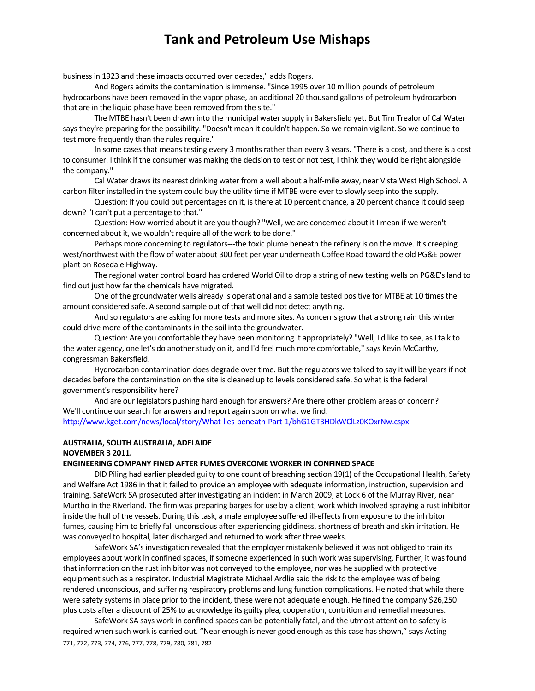business in 1923 and these impacts occurred over decades," adds Rogers.

And Rogers admits the contamination is immense. "Since 1995 over 10 million pounds of petroleum hydrocarbons have been removed in the vapor phase, an additional 20 thousand gallons of petroleum hydrocarbon that are in the liquid phase have been removed from the site."

The MTBE hasn't been drawn into the municipal water supply in Bakersfield yet. But Tim Trealor of Cal Water saysthey're preparing for the possibility. "Doesn't mean it couldn't happen. So we remain vigilant. So we continue to test more frequently than the rules require."

In some cases that means testing every 3 months rather than every 3 years. "There is a cost, and there is a cost to consumer. I think if the consumer was making the decision to test or not test, I think they would be right alongside the company."

Cal Water drawsits nearest drinking water from a well about a half‐mile away, near Vista West High School. A carbon filter installed in the system could buy the utility time if MTBE were ever to slowly seep into the supply.

Question: If you could put percentages on it, isthere at 10 percent chance, a 20 percent chance it could seep down? "I can't put a percentage to that."

Question: How worried about it are you though? "Well, we are concerned about it I mean if we weren't concerned about it, we wouldn't require all of the work to be done."

Perhaps more concerning to regulators—the toxic plume beneath the refinery is on the move. It's creeping west/northwest with the flow of water about 300 feet per year underneath Coffee Road toward the old PG&E power plant on Rosedale Highway.

The regional water control board has ordered World Oil to drop a string of new testing wells on PG&E'sland to find out just how far the chemicals have migrated.

One of the groundwater wells already is operational and a sample tested positive for MTBE at 10 times the amount considered safe. A second sample out of that well did not detect anything.

And so regulators are asking for more tests and more sites. As concerns grow that a strong rain this winter could drive more of the contaminants in the soil into the groundwater.

Question: Are you comfortable they have been monitoring it appropriately? "Well, I'd like to see, asI talk to the water agency, one let's do another study on it, and I'd feel much more comfortable," says Kevin McCarthy, congressman Bakersfield.

Hydrocarbon contamination does degrade over time. But the regulators we talked to say it will be yearsif not decades before the contamination on the site is cleaned up to levels considered safe. So what isthe federal government's responsibility here?

And are our legislators pushing hard enough for answers? Are there other problem areas of concern? We'll continue our search for answers and report again soon on what we find.

http://www.kget.com/news/local/story/What‐lies‐beneath‐Part‐1/bhG1GT3HDkWClLz0KOxrNw.cspx

### **AUSTRALIA, SOUTH AUSTRALIA, ADELAIDE NOVEMBER 3 2011.**

#### **ENGINEERING COMPANY FINED AFTER FUMES OVERCOME WORKER IN CONFINED SPACE**

DID Piling had earlier pleaded guilty to one count of breaching section 19(1) of the Occupational Health, Safety and Welfare Act 1986 in that it failed to provide an employee with adequate information, instruction, supervision and training. SafeWork SA prosecuted after investigating an incident in March 2009, at Lock 6 of the Murray River, near Murtho in the Riverland. The firm was preparing barges for use by a client; work which involved spraying a rust inhibitor inside the hull of the vessels. During this task, a male employee suffered ill-effects from exposure to the inhibitor fumes, causing him to briefly fall unconscious after experiencing giddiness, shortness of breath and skin irritation. He was conveyed to hospital, later discharged and returned to work after three weeks.

SafeWork SA's investigation revealed that the employer mistakenly believed it was not obliged to train its employees about work in confined spaces, if someone experienced in such work was supervising. Further, it was found that information on the rust inhibitor was not conveyed to the employee, nor was he supplied with protective equipment such as a respirator. Industrial Magistrate Michael Ardlie said the risk to the employee was of being rendered unconscious, and suffering respiratory problems and lung function complications. He noted that while there were safety systems in place prior to the incident, these were not adequate enough. He fined the company \$26,250 plus costs after a discount of 25% to acknowledge its guilty plea, cooperation, contrition and remedial measures.

771, 772, 773, 774, 776, 777, 778, 779, 780, 781, 782 SafeWork SA says work in confined spaces can be potentially fatal, and the utmost attention to safety is required when such work is carried out. "Near enough is never good enough asthis case hasshown," says Acting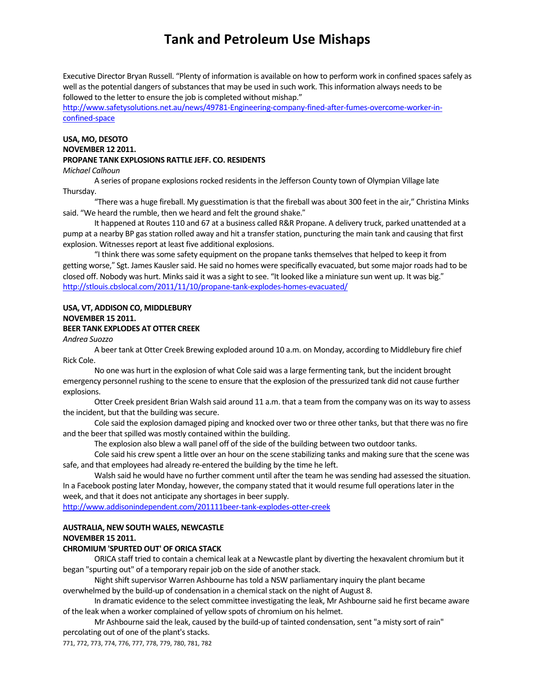Executive Director Bryan Russell. "Plenty of information is available on how to perform work in confined spaces safely as well as the potential dangers of substances that may be used in such work. This information always needs to be followed to the letter to ensure the job is completed without mishap."

http://www.safetysolutions.net.au/news/49781‐Engineering‐company‐fined‐after‐fumes‐overcome‐worker‐in‐ confined‐space

### **USA, MO, DESOTO NOVEMBER 12 2011. PROPANE TANK EXPLOSIONS RATTLE JEFF. CO. RESIDENTS**

*Michael Calhoun*

A series of propane explosions rocked residents in the Jefferson County town of Olympian Village late Thursday.

"There was a huge fireball. My guesstimation is that the fireball was about 300 feet in the air," Christina Minks said. "We heard the rumble, then we heard and felt the ground shake."

It happened at Routes 110 and 67 at a business called R&R Propane. A delivery truck, parked unattended at a pump at a nearby BP gasstation rolled away and hit a transferstation, puncturing the main tank and causing that first explosion. Witnesses report at least five additional explosions.

"I think there was some safety equipment on the propane tanks themselves that helped to keep it from getting worse," Sgt. James Kausler said. He said no homes were specifically evacuated, but some major roads had to be closed off. Nobody was hurt. Minks said it was a sight to see. "It looked like a miniature sun went up. It was big." http://stlouis.cbslocal.com/2011/11/10/propane-tank-explodes-homes-evacuated/

#### **USA, VT, ADDISON CO, MIDDLEBURY NOVEMBER 15 2011. BEER TANK EXPLODES AT OTTER CREEK**

#### *Andrea Suozzo*

A beer tank at Otter Creek Brewing exploded around 10 a.m. on Monday, according to Middlebury fire chief Rick Cole.

No one was hurt in the explosion of what Cole said was a large fermenting tank, but the incident brought emergency personnel rushing to the scene to ensure that the explosion of the pressurized tank did not cause further explosions.

Otter Creek president Brian Walsh said around 11 a.m. that a team from the company was on its way to assess the incident, but that the building was secure.

Cole said the explosion damaged piping and knocked over two or three other tanks, but that there was no fire and the beer that spilled was mostly contained within the building.

The explosion also blew a wall panel off of the side of the building between two outdoor tanks.

Cole said his crew spent a little over an hour on the scene stabilizing tanks and making sure that the scene was safe, and that employees had already re-entered the building by the time he left.

Walsh said he would have no further comment until after the team he was sending had assessed the situation. In a Facebook posting later Monday, however, the company stated that it would resume full operationslater in the week, and that it does not anticipate any shortages in beer supply.

http://www.addisonindependent.com/201111beer‐tank‐explodes‐otter‐creek

## **AUSTRALIA, NEW SOUTH WALES, NEWCASTLE**

### **NOVEMBER 15 2011.**

#### **CHROMIUM 'SPURTED OUT' OF ORICA STACK**

ORICA staff tried to contain a chemical leak at a Newcastle plant by diverting the hexavalent chromium but it began "spurting out" of a temporary repair job on the side of another stack.

Night shift supervisor Warren Ashbourne has told a NSW parliamentary inquiry the plant became

overwhelmed by the build-up of condensation in a chemical stack on the night of August 8.

In dramatic evidence to the select committee investigating the leak, Mr Ashbourne said he first became aware of the leak when a worker complained of yellow spots of chromium on his helmet.

Mr Ashbourne said the leak, caused by the build-up of tainted condensation, sent "a misty sort of rain" percolating out of one of the plant's stacks.

771, 772, 773, 774, 776, 777, 778, 779, 780, 781, 782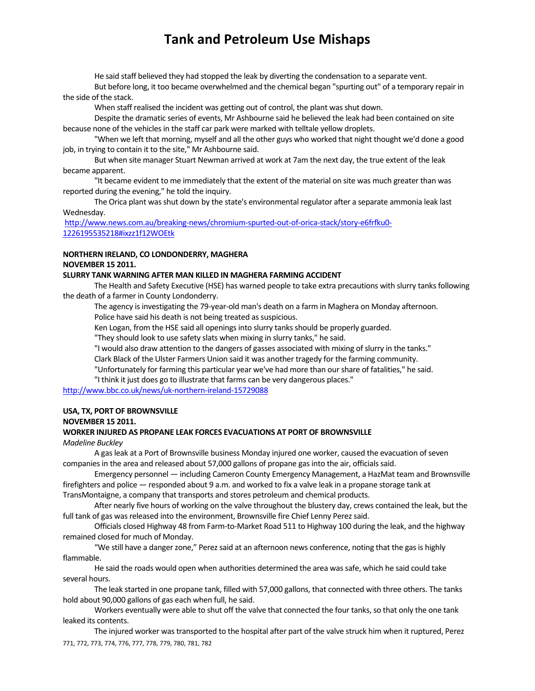He said staff believed they had stopped the leak by diverting the condensation to a separate vent.

But before long, it too became overwhelmed and the chemical began "spurting out" of a temporary repair in the side of the stack.

When staff realised the incident was getting out of control, the plant was shut down.

Despite the dramatic series of events, Mr Ashbourne said he believed the leak had been contained on site because none of the vehicles in the staff car park were marked with telltale yellow droplets.

"When we left that morning, myself and all the other guys who worked that night thought we'd done a good job, in trying to contain it to the site," Mr Ashbourne said.

But when site manager Stuart Newman arrived at work at 7am the next day, the true extent of the leak became apparent.

"It became evident to me immediately that the extent of the material on site was much greater than was reported during the evening," he told the inquiry.

The Orica plant was shut down by the state's environmental regulator after a separate ammonia leak last Wednesday.

http://www.news.com.au/breaking‐news/chromium‐spurted‐out‐of‐orica‐stack/story‐e6frfku0‐ 1226195535218#ixzz1f12WOEtk

#### **NORTHERN IRELAND, CO LONDONDERRY, MAGHERA**

#### **NOVEMBER 15 2011.**

#### **SLURRY TANK WARNING AFTER MAN KILLED IN MAGHERA FARMING ACCIDENT**

The Health and Safety Executive (HSE) has warned people to take extra precautions with slurry tanksfollowing the death of a farmer in County Londonderry.

The agency is investigating the 79-year-old man's death on a farm in Maghera on Monday afternoon.

Police have said his death is not being treated as suspicious.

Ken Logan, from the HSE said all openings into slurry tanks should be properly guarded.

"They should look to use safety slats when mixing in slurry tanks," he said.

"I would also draw attention to the dangers of gasses associated with mixing of slurry in the tanks."

Clark Black of the Ulster Farmers Union said it was another tragedy for the farming community.

"Unfortunately for farming this particular year we've had more than ourshare of fatalities," he said.

"I think it just does go to illustrate that farms can be very dangerous places."

http://www.bbc.co.uk/news/uk‐northern‐ireland‐15729088

## **USA, TX, PORT OF BROWNSVILLE**

### **NOVEMBER 15 2011.**

### **WORKER INJURED AS PROPANE LEAK FORCES EVACUATIONS AT PORT OF BROWNSVILLE**

#### *Madeline Buckley*

A gas leak at a Port of Brownsville business Monday injured one worker, caused the evacuation of seven companies in the area and released about 57,000 gallons of propane gas into the air, officials said.

Emergency personnel — including Cameron County Emergency Management, a HazMat team and Brownsville firefighters and police — responded about 9 a.m. and worked to fix a valve leak in a propane storage tank at TransMontaigne, a company that transports and stores petroleum and chemical products.

After nearly five hours of working on the valve throughout the blustery day, crews contained the leak, but the full tank of gas was released into the environment, Brownsville fire Chief Lenny Perez said.

Officials closed Highway 48 from Farm‐to‐Market Road 511 to Highway 100 during the leak, and the highway remained closed for much of Monday.

"We still have a danger zone," Perez said at an afternoon news conference, noting that the gas is highly flammable.

He said the roads would open when authorities determined the area wassafe, which he said could take several hours.

The leak started in one propane tank, filled with 57,000 gallons, that connected with three others. The tanks hold about 90,000 gallons of gas each when full, he said.

Workers eventually were able to shut off the valve that connected the four tanks, so that only the one tank leaked its contents.

771, 772, 773, 774, 776, 777, 778, 779, 780, 781, 782 The injured worker wastransported to the hospital after part of the valve struck him when it ruptured, Perez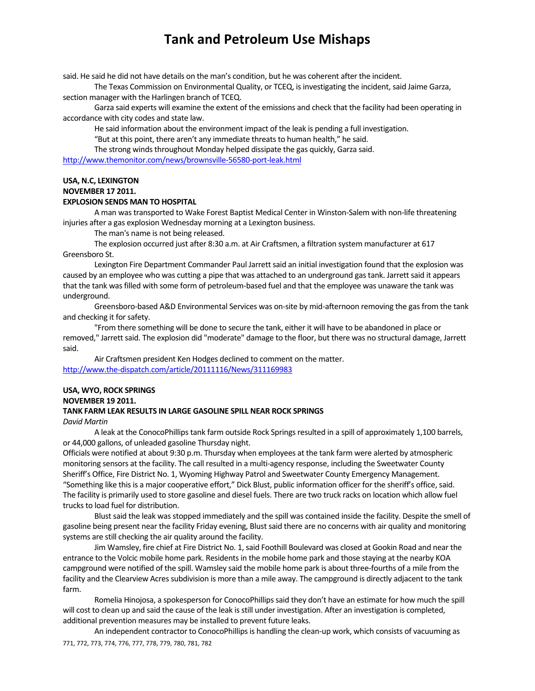said. He said he did not have details on the man's condition, but he was coherent after the incident.

The Texas Commission on Environmental Quality, or TCEQ, is investigating the incident, said Jaime Garza, section manager with the Harlingen branch of TCEQ.

Garza said experts will examine the extent of the emissions and check that the facility had been operating in accordance with city codes and state law.

He said information about the environment impact of the leak is pending a full investigation.

"But at this point, there aren't any immediate threats to human health," he said.

The strong winds throughout Monday helped dissipate the gas quickly, Garza said.

http://www.themonitor.com/news/brownsville‐56580‐port‐leak.html

#### **USA, N.C, LEXINGTON NOVEMBER 17 2011.**

#### **EXPLOSION SENDS MAN TO HOSPITAL**

A man wastransported to Wake Forest Baptist Medical Center in Winston‐Salem with non‐life threatening injuries after a gas explosion Wednesday morning at a Lexington business.

The man's name is not being released.

The explosion occurred just after 8:30 a.m. at Air Craftsmen, a filtration system manufacturer at 617 Greensboro St.

Lexington Fire Department Commander Paul Jarrett said an initial investigation found that the explosion was caused by an employee who was cutting a pipe that was attached to an underground gas tank. Jarrett said it appears that the tank wasfilled with some form of petroleum‐based fuel and that the employee was unaware the tank was underground.

Greensboro-based A&D Environmental Services was on-site by mid-afternoon removing the gas from the tank and checking it for safety.

"From there something will be done to secure the tank, either it will have to be abandoned in place or removed," Jarrettsaid. The explosion did "moderate" damage to the floor, but there was no structural damage, Jarrett said.

Air Craftsmen president Ken Hodges declined to comment on the matter. http://www.the‐dispatch.com/article/20111116/News/311169983

#### **USA, WYO, ROCK SPRINGS NOVEMBER 19 2011.**

#### **TANK FARM LEAK RESULTS IN LARGE GASOLINE SPILL NEAR ROCK SPRINGS**

*David Martin*

A leak at the ConocoPhillips tank farm outside Rock Springs resulted in a spill of approximately 1,100 barrels, or 44,000 gallons, of unleaded gasoline Thursday night.

Officials were notified at about 9:30 p.m. Thursday when employees at the tank farm were alerted by atmospheric monitoring sensors at the facility. The call resulted in a multi-agency response, including the Sweetwater County Sheriff's Office, Fire District No. 1, Wyoming Highway Patrol and Sweetwater County Emergency Management. "Something like this is a major cooperative effort," Dick Blust, public information officer for the sheriff's office, said. The facility is primarily used to store gasoline and diesel fuels. There are two truck racks on location which allow fuel trucks to load fuel for distribution.

Blust said the leak was stopped immediately and the spill was contained inside the facility. Despite the smell of gasoline being present near the facility Friday evening, Blust said there are no concerns with air quality and monitoring systems are still checking the air quality around the facility.

Jim Wamsley, fire chief at Fire District No. 1, said Foothill Boulevard was closed at Gookin Road and near the entrance to the Volcic mobile home park. Residentsin the mobile home park and those staying at the nearby KOA campground were notified of the spill. Wamsley said the mobile home park is about three‐fourths of a mile from the facility and the Clearview Acres subdivision is more than a mile away. The campground is directly adjacent to the tank farm.

Romelia Hinojosa, a spokesperson for ConocoPhillips said they don't have an estimate for how much the spill will cost to clean up and said the cause of the leak is still under investigation. After an investigation is completed, additional prevention measures may be installed to prevent future leaks.

771, 772, 773, 774, 776, 777, 778, 779, 780, 781, 782 An independent contractor to ConocoPhillips is handling the clean-up work, which consists of vacuuming as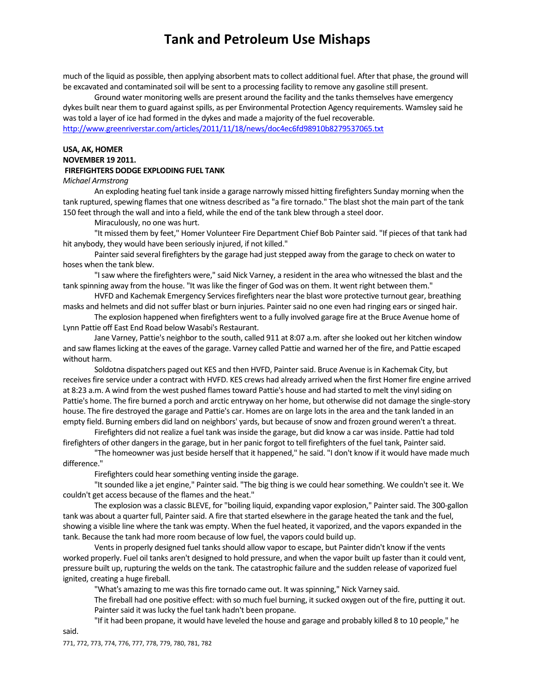much of the liquid as possible, then applying absorbent matsto collect additional fuel. After that phase, the ground will be excavated and contaminated soil will be sent to a processing facility to remove any gasoline still present.

Ground water monitoring wells are present around the facility and the tanks themselves have emergency dykes built near them to guard against spills, as per Environmental Protection Agency requirements. Wamsley said he wastold a layer of ice had formed in the dykes and made a majority of the fuel recoverable. http://www.greenriverstar.com/articles/2011/11/18/news/doc4ec6fd98910b8279537065.txt

**USA, AK, HOMER NOVEMBER 19 2011. FIREFIGHTERS DODGE EXPLODING FUEL TANK**

#### *Michael Armstrong*

An exploding heating fuel tank inside a garage narrowly missed hitting firefighters Sunday morning when the tank ruptured, spewing flames that one witness described as "a fire tornado." The blast shot the main part of the tank 150 feet through the wall and into a field, while the end of the tank blew through a steel door.

Miraculously, no one was hurt.

"It missed them by feet," Homer Volunteer Fire Department Chief Bob Paintersaid. "If pieces of that tank had hit anybody, they would have been seriously injured, if not killed."

Painter said several firefighters by the garage had just stepped away from the garage to check on water to hoses when the tank blew.

"Isaw where the firefighters were," said Nick Varney, a resident in the area who witnessed the blast and the tank spinning away from the house. "It waslike the finger of God was on them. It went right between them."

HVFD and Kachemak Emergency Services firefighters near the blast wore protective turnout gear, breathing masks and helmets and did not suffer blast or burn injuries. Painter said no one even had ringing ears or singed hair.

The explosion happened when firefighters went to a fully involved garage fire at the Bruce Avenue home of Lynn Pattie off East End Road below Wasabi's Restaurant.

Jane Varney, Pattie's neighbor to the south, called 911 at 8:07 a.m. aftershe looked out her kitchen window and saw flameslicking at the eaves of the garage. Varney called Pattie and warned her of the fire, and Pattie escaped without harm.

Soldotna dispatchers paged out KES and then HVFD, Painter said. Bruce Avenue is in Kachemak City, but receivesfire service under a contract with HVFD. KES crews had already arrived when the first Homer fire engine arrived at 8:23 a.m. A wind from the west pushed flames toward Pattie's house and had started to melt the vinyl siding on Pattie's home. The fire burned a porch and arctic entryway on her home, but otherwise did not damage the single‐story house. The fire destroyed the garage and Pattie's car. Homes are on large lotsin the area and the tank landed in an empty field. Burning embers did land on neighbors' yards, but because ofsnow and frozen ground weren't a threat.

Firefighters did not realize a fuel tank was inside the garage, but did know a car was inside. Pattie had told firefighters of other dangers in the garage, but in her panic forgot to tell firefighters of the fuel tank, Painter said.

"The homeowner wasjust beside herself that it happened," he said. "I don't know if it would have made much difference."

Firefighters could hear something venting inside the garage.

"It sounded like a jet engine," Painter said. "The big thing is we could hear something. We couldn't see it. We couldn't get access because of the flames and the heat."

The explosion was a classic BLEVE, for "boiling liquid, expanding vapor explosion," Paintersaid. The 300‐gallon tank was about a quarter full, Painter said. A fire that started elsewhere in the garage heated the tank and the fuel, showing a visible line where the tank was empty. When the fuel heated, it vaporized, and the vapors expanded in the tank. Because the tank had more room because of low fuel, the vapors could build up.

Vents in properly designed fuel tanks should allow vapor to escape, but Painter didn't know if the vents worked properly. Fuel oil tanks aren't designed to hold pressure, and when the vapor built up faster than it could vent, pressure built up, rupturing the welds on the tank. The catastrophic failure and the sudden release of vaporized fuel ignited, creating a huge fireball.

"What's amazing to me was this fire tornado came out. It was spinning," Nick Varney said.

The fireball had one positive effect: with so much fuel burning, it sucked oxygen out of the fire, putting it out. Painter said it was lucky the fuel tank hadn't been propane.

"If it had been propane, it would have leveled the house and garage and probably killed 8 to 10 people," he

said.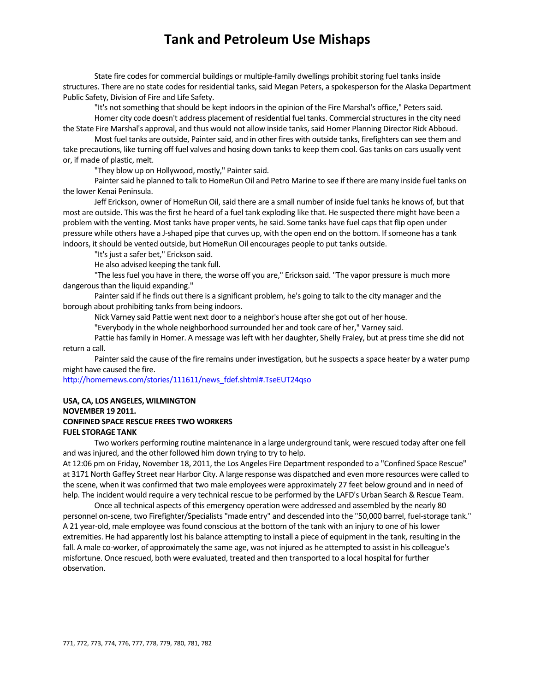State fire codes for commercial buildings or multiple-family dwellings prohibit storing fuel tanks inside structures. There are no state codes for residential tanks, said Megan Peters, a spokesperson for the Alaska Department Public Safety, Division of Fire and Life Safety.

"It's not something that should be kept indoors in the opinion of the Fire Marshal's office," Peters said.

Homer city code doesn't address placement of residential fuel tanks. Commercial structures in the city need the State Fire Marshal's approval, and thus would not allow inside tanks, said Homer Planning Director Rick Abboud.

Most fuel tanks are outside, Painter said, and in other fires with outside tanks, firefighters can see them and take precautions, like turning off fuel valves and hosing down tanks to keep them cool. Gas tanks on cars usually vent or, if made of plastic, melt.

"They blow up on Hollywood, mostly," Painter said.

Painter said he planned to talk to HomeRun Oil and Petro Marine to see if there are many inside fuel tanks on the lower Kenai Peninsula.

Jeff Erickson, owner of HomeRun Oil, said there are a small number of inside fuel tanks he knows of, but that most are outside. This wasthe first he heard of a fuel tank exploding like that. He suspected there might have been a problem with the venting. Most tanks have proper vents, he said. Some tanks have fuel capsthat flip open under pressure while others have a J-shaped pipe that curves up, with the open end on the bottom. If someone has a tank indoors, it should be vented outside, but HomeRun Oil encourages people to put tanks outside.

"It's just a safer bet," Erickson said.

He also advised keeping the tank full.

"The lessfuel you have in there, the worse off you are," Erickson said. "The vapor pressure is much more dangerous than the liquid expanding."

Painter said if he finds out there is a significant problem, he's going to talk to the city manager and the borough about prohibiting tanks from being indoors.

Nick Varney said Pattie went next door to a neighbor's house aftershe got out of her house.

"Everybody in the whole neighborhood surrounded her and took care of her," Varney said.

Pattie has family in Homer. A message was left with her daughter, Shelly Fraley, but at press time she did not return a call.

Painter said the cause of the fire remains under investigation, but he suspects a space heater by a water pump might have caused the fire.

http://homernews.com/stories/111611/news\_fdef.shtml#.TseEUT24qso

## **USA, CA, LOS ANGELES, WILMINGTON**

#### **NOVEMBER 19 2011. CONFINED SPACE RESCUE FREES TWO WORKERS FUEL STORAGE TANK**

Two workers performing routine maintenance in a large underground tank, were rescued today after one fell and was injured, and the other followed him down trying to try to help.

At 12:06 pm on Friday, November 18, 2011, the Los Angeles Fire Department responded to a "Confined Space Rescue" at 3171 North Gaffey Street near Harbor City. A large response was dispatched and even more resources were called to the scene, when it was confirmed that two male employees were approximately 27 feet below ground and in need of help. The incident would require a very technical rescue to be performed by the LAFD's Urban Search & Rescue Team.

Once all technical aspects of this emergency operation were addressed and assembled by the nearly 80 personnel on-scene, two Firefighter/Specialists "made entry" and descended into the "50,000 barrel, fuel-storage tank." A 21 year‐old, male employee wasfound conscious at the bottom of the tank with an injury to one of hislower extremities. He had apparently lost his balance attempting to install a piece of equipment in the tank, resulting in the fall. A male co-worker, of approximately the same age, was not injured as he attempted to assist in his colleague's misfortune. Once rescued, both were evaluated, treated and then transported to a local hospital for further observation.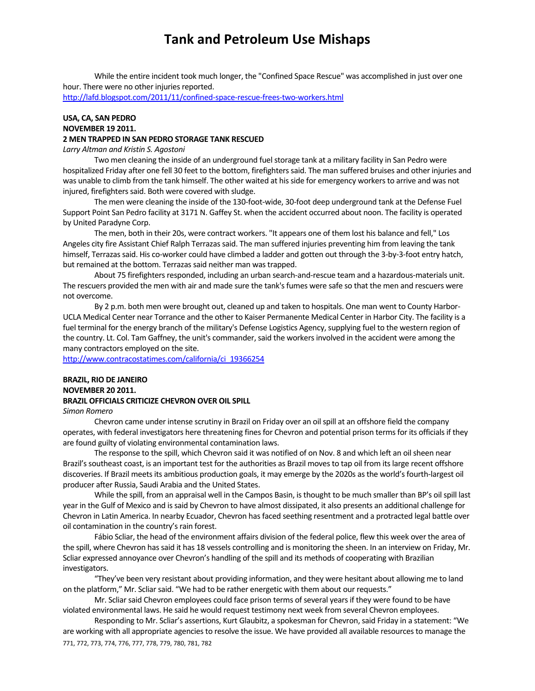While the entire incident took much longer, the "Confined Space Rescue" was accomplished in just over one hour. There were no other injuries reported.

http://lafd.blogspot.com/2011/11/confined‐space‐rescue‐frees‐two‐workers.html

### **USA, CA, SAN PEDRO NOVEMBER 19 2011.**

#### **2 MEN TRAPPED IN SAN PEDRO STORAGE TANK RESCUED**

*Larry Altman and Kristin S. Agostoni*

Two men cleaning the inside of an underground fuel storage tank at a military facility in San Pedro were hospitalized Friday after one fell 30 feet to the bottom, firefighterssaid. The man suffered bruises and other injuries and was unable to climb from the tank himself. The other waited at hisside for emergency workersto arrive and was not injured, firefighters said. Both were covered with sludge.

The men were cleaning the inside of the 130-foot-wide, 30-foot deep underground tank at the Defense Fuel Support Point San Pedro facility at 3171 N. Gaffey St. when the accident occurred about noon. The facility is operated by United Paradyne Corp.

The men, both in their 20s, were contract workers. "It appears one of them lost his balance and fell," Los Angeles city fire Assistant Chief Ralph Terrazassaid. The man suffered injuries preventing him from leaving the tank himself, Terrazas said. His co-worker could have climbed a ladder and gotten out through the 3-by-3-foot entry hatch, but remained at the bottom. Terrazas said neither man was trapped.

About 75 firefighters responded, including an urban search-and-rescue team and a hazardous-materials unit. The rescuers provided the men with air and made sure the tank's fumes were safe so that the men and rescuers were not overcome.

By 2 p.m. both men were brought out, cleaned up and taken to hospitals. One man went to County Harbor-UCLA Medical Center near Torrance and the other to Kaiser Permanente Medical Center in Harbor City. The facility is a fuel terminal for the energy branch of the military's Defense Logistics Agency, supplying fuel to the western region of the country. Lt. Col. Tam Gaffney, the unit's commander, said the workers involved in the accident were among the many contractors employed on the site.

http://www.contracostatimes.com/california/ci\_19366254

### **BRAZIL, RIO DE JANEIRO NOVEMBER 20 2011. BRAZIL OFFICIALS CRITICIZE CHEVRON OVER OIL SPILL**

*Simon Romero*

Chevron came under intense scrutiny in Brazil on Friday over an oilspill at an offshore field the company operates, with federal investigators here threatening fines for Chevron and potential prison terms for its officials if they are found guilty of violating environmental contamination laws.

The response to the spill, which Chevron said it was notified of on Nov. 8 and which left an oil sheen near Brazil's southeast coast, is an important test for the authorities as Brazil moves to tap oil from its large recent offshore discoveries. If Brazil meets its ambitious production goals, it may emerge by the 2020s as the world's fourth-largest oil producer after Russia, Saudi Arabia and the United States.

While the spill, from an appraisal well in the Campos Basin, is thought to be much smaller than BP's oil spill last year in the Gulf of Mexico and issaid by Chevron to have almost dissipated, it also presents an additional challenge for Chevron in Latin America. In nearby Ecuador, Chevron hasfaced seething resentment and a protracted legal battle over oil contamination in the country's rain forest.

Fábio Scliar, the head of the environment affairs division of the federal police, flew this week over the area of the spill, where Chevron hassaid it has 18 vessels controlling and is monitoring the sheen. In an interview on Friday, Mr. Scliar expressed annoyance over Chevron's handling of the spill and its methods of cooperating with Brazilian investigators.

"They've been very resistant about providing information, and they were hesitant about allowing me to land on the platform," Mr. Scliar said. "We had to be rather energetic with them about our requests."

Mr. Scliar said Chevron employees could face prison terms of several years if they were found to be have violated environmental laws. He said he would request testimony next week from several Chevron employees.

771, 772, 773, 774, 776, 777, 778, 779, 780, 781, 782 Responding to Mr. Scliar's assertions, Kurt Glaubitz, a spokesman for Chevron,said Friday in a statement: "We are working with all appropriate agencies to resolve the issue. We have provided all available resources to manage the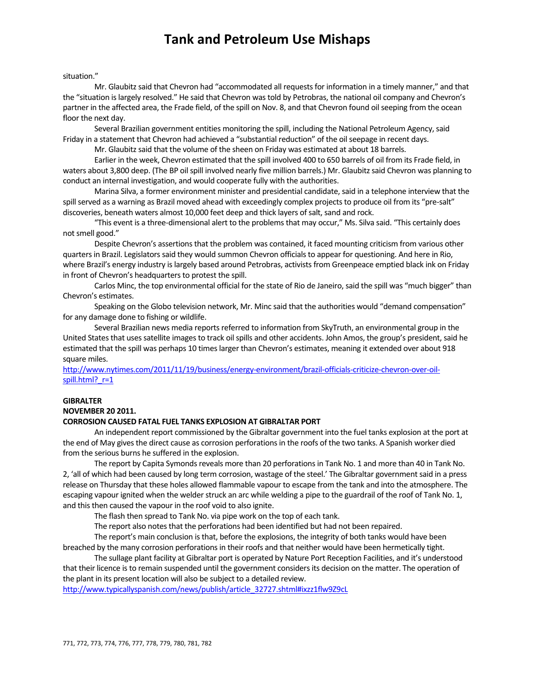situation."

Mr. Glaubitz said that Chevron had "accommodated all requests for information in a timely manner," and that the "situation islargely resolved." He said that Chevron wastold by Petrobras, the national oil company and Chevron's partner in the affected area, the Frade field, of the spill on Nov. 8, and that Chevron found oilseeping from the ocean floor the next day.

Several Brazilian government entities monitoring the spill, including the National Petroleum Agency, said Friday in a statement that Chevron had achieved a "substantial reduction" of the oil seepage in recent days.

Mr. Glaubitz said that the volume of the sheen on Friday was estimated at about 18 barrels.

Earlier in the week, Chevron estimated that the spill involved 400 to 650 barrels of oil from its Frade field, in waters about 3,800 deep. (The BP oil spill involved nearly five million barrels.) Mr. Glaubitz said Chevron was planning to conduct an internal investigation, and would cooperate fully with the authorities.

Marina Silva, a former environment minister and presidential candidate, said in a telephone interview that the spill served as a warning as Brazil moved ahead with exceedingly complex projects to produce oil from its "pre-salt" discoveries, beneath waters almost 10,000 feet deep and thick layers of salt, sand and rock.

"This event is a three-dimensional alert to the problems that may occur," Ms. Silva said. "This certainly does not smell good."

Despite Chevron's assertions that the problem was contained, it faced mounting criticism from various other quarters in Brazil. Legislators said they would summon Chevron officials to appear for questioning. And here in Rio, where Brazil's energy industry islargely based around Petrobras, activistsfrom Greenpeace emptied black ink on Friday in front of Chevron's headquarters to protest the spill.

Carlos Minc, the top environmental official for the state of Rio de Janeiro, said the spill was "much bigger" than Chevron's estimates.

Speaking on the Globo television network, Mr. Minc said that the authorities would "demand compensation" for any damage done to fishing or wildlife.

Several Brazilian news media reports referred to information from SkyTruth, an environmental group in the United States that uses satellite images to track oil spills and other accidents. John Amos, the group's president, said he estimated that the spill was perhaps 10 timeslarger than Chevron's estimates, meaning it extended over about 918 square miles.

http://www.nytimes.com/2011/11/19/business/energy-environment/brazil-officials-criticize-chevron-over-oilspill.html? r=1

#### **GIBRALTER**

#### **NOVEMBER 20 2011.**

#### **CORROSION CAUSED FATAL FUEL TANKS EXPLOSION AT GIBRALTAR PORT**

An independent report commissioned by the Gibraltar government into the fuel tanks explosion at the port at the end of May gives the direct cause as corrosion perforations in the roofs of the two tanks. A Spanish worker died from the serious burns he suffered in the explosion.

The report by Capita Symonds reveals more than 20 perforations in Tank No. 1 and more than 40 in Tank No. 2, 'all of which had been caused by long term corrosion, wastage of the steel.' The Gibraltar government said in a press release on Thursday that these holes allowed flammable vapour to escape from the tank and into the atmosphere. The escaping vapour ignited when the welder struck an arc while welding a pipe to the guardrail of the roof of Tank No. 1, and this then caused the vapour in the roof void to also ignite.

The flash then spread to Tank No. via pipe work on the top of each tank.

The report also notes that the perforations had been identified but had not been repaired.

The report's main conclusion is that, before the explosions, the integrity of both tanks would have been breached by the many corrosion perforations in their roofs and that neither would have been hermetically tight.

The sullage plant facility at Gibraltar port is operated by Nature Port Reception Facilities, and it's understood that their licence isto remain suspended until the government considersits decision on the matter. The operation of the plant in its present location will also be subject to a detailed review.

http://www.typicallyspanish.com/news/publish/article\_32727.shtml#ixzz1flw9Z9cL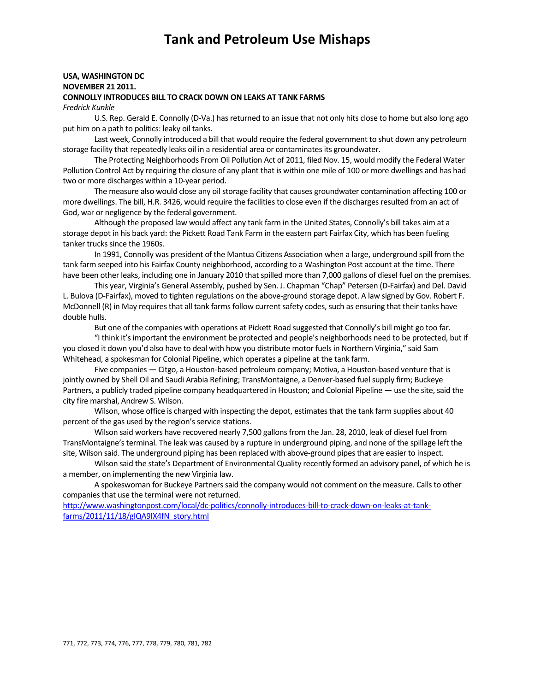#### **USA, WASHINGTON DC NOVEMBER 21 2011. CONNOLLY INTRODUCES BILL TO CRACK DOWN ON LEAKS AT TANK FARMS**

*Fredrick Kunkle*

U.S. Rep. Gerald E. Connolly (D-Va.) has returned to an issue that not only hits close to home but also long ago put him on a path to politics: leaky oil tanks.

Last week, Connolly introduced a bill that would require the federal government to shut down any petroleum storage facility that repeatedly leaks oil in a residential area or contaminatesits groundwater.

The Protecting Neighborhoods From Oil Pollution Act of 2011, filed Nov. 15, would modify the Federal Water Pollution Control Act by requiring the closure of any plant that is within one mile of 100 or more dwellings and has had two or more discharges within a 10‐year period.

The measure also would close any oil storage facility that causes groundwater contamination affecting 100 or more dwellings. The bill, H.R. 3426, would require the facilities to close even if the discharges resulted from an act of God, war or negligence by the federal government.

Although the proposed law would affect any tank farm in the United States, Connolly's bill takes aim at a storage depot in his back yard: the Pickett Road Tank Farm in the eastern part Fairfax City, which has been fueling tanker trucks since the 1960s.

In 1991, Connolly was president of the Mantua Citizens Association when a large, underground spill from the tank farm seeped into his Fairfax County neighborhood, according to a Washington Post account at the time. There have been other leaks, including one in January 2010 that spilled more than 7,000 gallons of diesel fuel on the premises.

This year, Virginia's General Assembly, pushed by Sen. J. Chapman "Chap" Petersen (D‐Fairfax) and Del. David L. Bulova (D‐Fairfax), moved to tighten regulations on the above‐ground storage depot. A law signed by Gov. Robert F. McDonnell (R) in May requires that all tank farms follow current safety codes, such as ensuring that their tanks have double hulls.

But one of the companies with operations at Pickett Road suggested that Connolly's bill might go too far.

"I think it'simportant the environment be protected and people's neighborhoods need to be protected, but if you closed it down you'd also have to deal with how you distribute motor fuelsin Northern Virginia," said Sam Whitehead, a spokesman for Colonial Pipeline, which operates a pipeline at the tank farm.

Five companies — Citgo, a Houston‐based petroleum company; Motiva, a Houston‐based venture that is jointly owned by Shell Oil and Saudi Arabia Refining; TransMontaigne, a Denver-based fuel supply firm; Buckeye Partners, a publicly traded pipeline company headquartered in Houston; and Colonial Pipeline — use the site, said the city fire marshal, Andrew S. Wilson.

Wilson, whose office is charged with inspecting the depot, estimates that the tank farm supplies about 40 percent of the gas used by the region's service stations.

Wilson said workers have recovered nearly 7,500 gallons from the Jan. 28, 2010, leak of diesel fuel from TransMontaigne'sterminal. The leak was caused by a rupture in underground piping, and none of the spillage left the site, Wilson said. The underground piping has been replaced with above-ground pipes that are easier to inspect.

Wilson said the state's Department of Environmental Quality recently formed an advisory panel, of which he is a member, on implementing the new Virginia law.

A spokeswoman for Buckeye Partners said the company would not comment on the measure. Calls to other companies that use the terminal were not returned.

http://www.washingtonpost.com/local/dc-politics/connolly-introduces-bill-to-crack-down-on-leaks-at-tankfarms/2011/11/18/gIQA9IX4fN\_story.html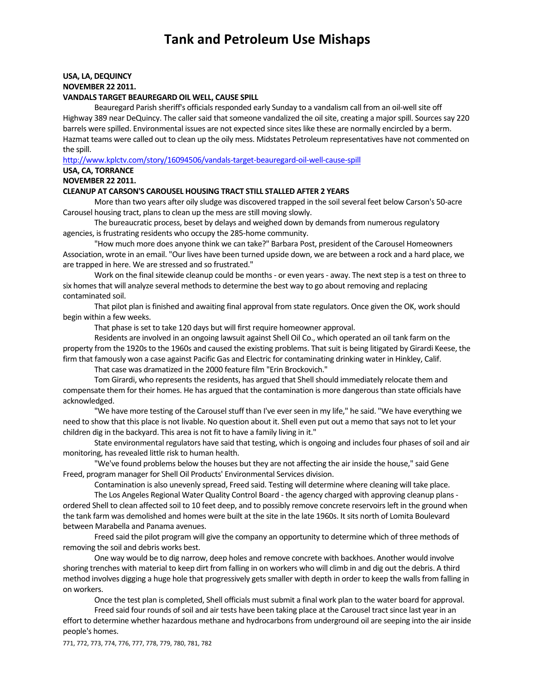## **USA, LA, DEQUINCY NOVEMBER 22 2011.**

#### **VANDALS TARGET BEAUREGARD OIL WELL, CAUSE SPILL**

Beauregard Parish sheriff's officials responded early Sunday to a vandalism call from an oil-well site off Highway 389 near DeQuincy. The caller said that someone vandalized the oil site, creating a major spill. Sources say 220 barrels were spilled. Environmental issues are not expected since siteslike these are normally encircled by a berm. Hazmat teams were called out to clean up the oily mess. Midstates Petroleum representatives have not commented on the spill.

http://www.kplctv.com/story/16094506/vandals‐target‐beauregard‐oil‐well‐cause‐spill

### **USA, CA, TORRANCE**

### **NOVEMBER 22 2011.**

### **CLEANUP AT CARSON'S CAROUSEL HOUSING TRACT STILL STALLED AFTER 2 YEARS**

More than two years after oily sludge was discovered trapped in the soil several feet below Carson's 50-acre Carousel housing tract, plans to clean up the mess are still moving slowly.

The bureaucratic process, beset by delays and weighed down by demands from numerous regulatory agencies, is frustrating residents who occupy the 285-home community.

"How much more does anyone think we can take?" Barbara Post, president of the Carousel Homeowners Association, wrote in an email. "Our lives have been turned upside down, we are between a rock and a hard place, we are trapped in here. We are stressed and so frustrated."

Work on the final sitewide cleanup could be months - or even years - away. The next step is a test on three to six homes that will analyze several methods to determine the best way to go about removing and replacing contaminated soil.

That pilot plan isfinished and awaiting final approval from state regulators. Once given the OK, work should begin within a few weeks.

That phase is set to take 120 days but will first require homeowner approval.

Residents are involved in an ongoing lawsuit against Shell Oil Co., which operated an oil tank farm on the property from the 1920s to the 1960s and caused the existing problems. That suit is being litigated by Girardi Keese, the firm that famously won a case against Pacific Gas and Electric for contaminating drinking water in Hinkley, Calif.

That case was dramatized in the 2000 feature film "Erin Brockovich."

Tom Girardi, who represents the residents, has argued that Shell should immediately relocate them and compensate them for their homes. He has argued that the contamination is more dangerousthan state officials have acknowledged.

"We have more testing of the Carousel stuff than I've ever seen in my life," he said. "We have everything we need to show that this place is not livable. No question about it. Shell even put out a memo that says not to let your children dig in the backyard. This area is not fit to have a family living in it."

State environmental regulators have said that testing, which is ongoing and includes four phases of soil and air monitoring, has revealed little risk to human health.

"We've found problems below the houses but they are not affecting the air inside the house," said Gene Freed, program manager for Shell Oil Products' Environmental Services division.

Contamination is also unevenly spread, Freed said. Testing will determine where cleaning will take place.

The Los Angeles Regional Water Quality Control Board ‐ the agency charged with approving cleanup plans ‐ ordered Shell to clean affected soil to 10 feet deep, and to possibly remove concrete reservoirsleft in the ground when the tank farm was demolished and homes were built at the site in the late 1960s. It sits north of Lomita Boulevard between Marabella and Panama avenues.

Freed said the pilot program will give the company an opportunity to determine which of three methods of removing the soil and debris works best.

One way would be to dig narrow, deep holes and remove concrete with backhoes. Another would involve shoring trenches with material to keep dirt from falling in on workers who will climb in and dig out the debris. A third method involves digging a huge hole that progressively gets smaller with depth in order to keep the walls from falling in on workers.

Once the test plan is completed, Shell officials mustsubmit a final work plan to the water board for approval.

Freed said four rounds of soil and air tests have been taking place at the Carousel tract since last year in an effort to determine whether hazardous methane and hydrocarbons from underground oil are seeping into the air inside people's homes.